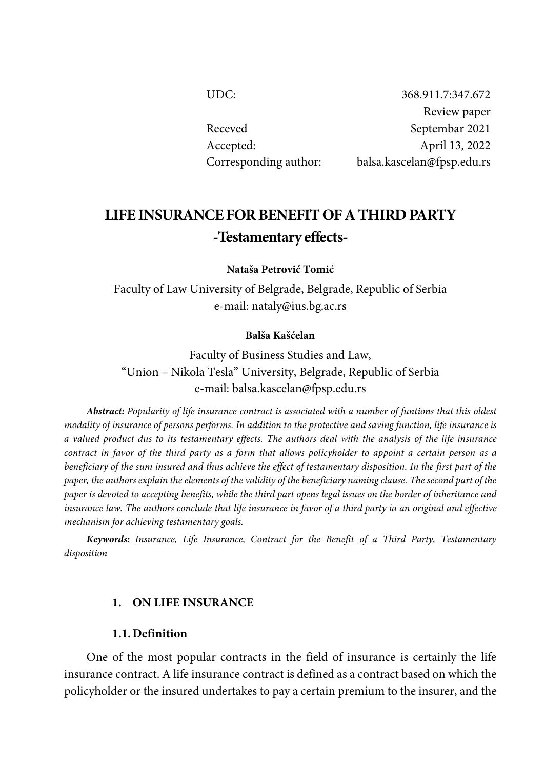| UDC:                  | 368.911.7:347.672          |
|-----------------------|----------------------------|
|                       | Review paper               |
| Receved               | Septembar 2021             |
| Accepted:             | April 13, 2022             |
| Corresponding author: | balsa.kascelan@fpsp.edu.rs |

# **LIFE INSURANCE FOR BENEFIT OF A THIRD PARTY -Testamentary effects-**

**Nataša Petrović Tomić**

Faculty of Law University of Belgrade, Belgrade, Republic of Serbia e-mail: nataly@ius.bg.ac.rs

#### **Balša Kašćelan**

Faculty of Business Studies and Law, "Union – Nikola Tesla" University, Belgrade, Republic of Serbia e-mail: balsa.kascelan@fpsp.edu.rs

*Abstract: Popularity of life insurance contract is associated with a number of funtions that this oldest* modality of insurance of persons performs. In addition to the protective and saving function, life insurance is a valued product dus to its testamentary effects. The authors deal with the analysis of the life insurance contract in favor of the third party as a form that allows policyholder to appoint a certain person as a beneficiary of the sum insured and thus achieve the effect of testamentary disposition. In the first part of the paper, the authors explain the elements of the validity of the beneficiary naming clause. The second part of the paper is devoted to accepting benefits, while the third part opens legal issues on the border of inheritance and insurance law. The authors conclude that life insurance in favor of a third party ia an original and effective *mechanism for achieving testamentary goals.*

*Keywords: Insurance, Life Insurance, Contract for the Benefit of a Third Party, Testamentary disposition*

#### **1. ON LIFE INSURANCE**

#### **1.1.Definition**

One of the most popular contracts in the field of insurance is certainly the life insurance contract. A life insurance contract is defined as a contract based on which the policyholder or the insured undertakes to pay a certain premium to the insurer, and the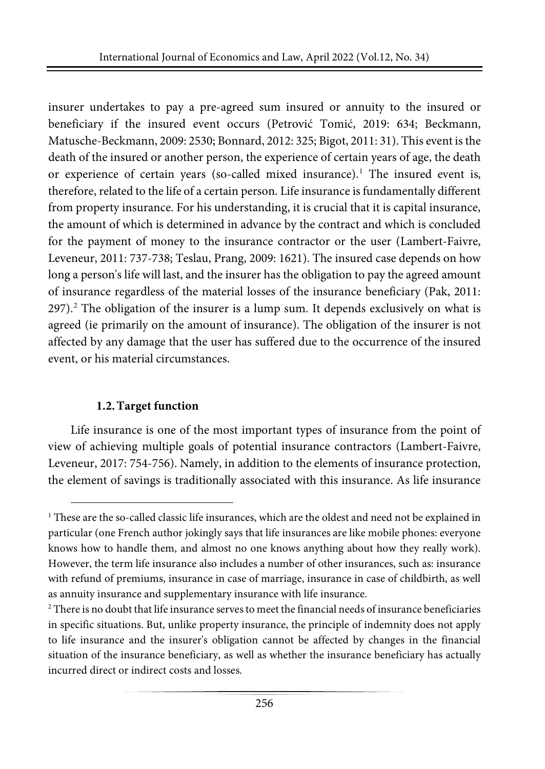insurer undertakes to pay a pre-agreed sum insured or annuity to the insured or beneficiary if the insured event occurs (Petrović Tomić, 2019: 634; Beckmann, Matusche-Beckmann, 2009: 2530; Bonnard, 2012: 325; Bigot, 2011: 31). This event is the death of the insured or another person, the experience of certain years of age, the death or experience of certain years (so-called mixed insurance).<sup>[1](#page-1-0)</sup> The insured event is, therefore, related to the life of a certain person. Life insurance is fundamentally different from property insurance. For his understanding, it is crucial that it is capital insurance, the amount of which is determined in advance by the contract and which is concluded for the payment of money to the insurance contractor or the user (Lambert-Faivre, Leveneur, 2011: 737-738; Teslau, Prang, 2009: 1621). The insured case depends on how long a person's life will last, and the insurer has the obligation to pay the agreed amount of insurance regardless of the material losses of the insurance beneficiary (Pak, 2011:  $297$  $297$ ).<sup>2</sup> The obligation of the insurer is a lump sum. It depends exclusively on what is agreed (ie primarily on the amount of insurance). The obligation of the insurer is not affected by any damage that the user has suffered due to the occurrence of the insured event, or his material circumstances.

### **1.2.Target function**

Life insurance is one of the most important types of insurance from the point of view of achieving multiple goals of potential insurance contractors (Lambert-Faivre, Leveneur, 2017: 754-756). Namely, in addition to the elements of insurance protection, the element of savings is traditionally associated with this insurance. As life insurance

<span id="page-1-0"></span><sup>&</sup>lt;sup>1</sup> These are the so-called classic life insurances, which are the oldest and need not be explained in particular (one French author jokingly says that life insurances are like mobile phones: everyone knows how to handle them, and almost no one knows anything about how they really work). However, the term life insurance also includes a number of other insurances, such as: insurance with refund of premiums, insurance in case of marriage, insurance in case of childbirth, as well as annuity insurance and supplementary insurance with life insurance.

<span id="page-1-1"></span><sup>2</sup> There is no doubt that life insurance serves to meet the financial needs of insurance beneficiaries in specific situations. But, unlike property insurance, the principle of indemnity does not apply to life insurance and the insurer's obligation cannot be affected by changes in the financial situation of the insurance beneficiary, as well as whether the insurance beneficiary has actually incurred direct or indirect costs and losses.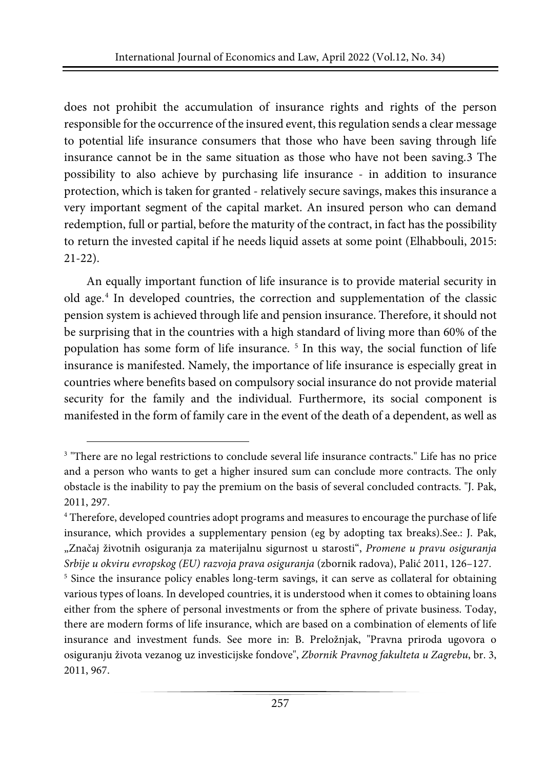does not prohibit the accumulation of insurance rights and rights of the person responsible forthe occurrence of the insured event, thisregulation sends a clear message to potential life insurance consumers that those who have been saving through life insurance cannot be in the same situation as those who have not been saving.[3](#page-2-0) The possibility to also achieve by purchasing life insurance - in addition to insurance protection, which is taken for granted - relatively secure savings, makes this insurance a very important segment of the capital market. An insured person who can demand redemption, full or partial, before the maturity of the contract, in fact has the possibility to return the invested capital if he needs liquid assets at some point (Elhabbouli, 2015: 21-22).

An equally important function of life insurance is to provide material security in old age.[4](#page-2-1) In developed countries, the correction and supplementation of the classic pension system is achieved through life and pension insurance. Therefore, it should not be surprising that in the countries with a high standard of living more than 60% of the population has some form of life insurance. [5](#page-2-2) In this way, the social function of life insurance is manifested. Namely, the importance of life insurance is especially great in countries where benefits based on compulsory social insurance do not provide material security for the family and the individual. Furthermore, its social component is manifested in the form of family care in the event of the death of a dependent, as well as

<span id="page-2-0"></span><sup>&</sup>lt;sup>3</sup> "There are no legal restrictions to conclude several life insurance contracts." Life has no price and a person who wants to get a higher insured sum can conclude more contracts. The only obstacle is the inability to pay the premium on the basis of several concluded contracts. "J. Pak, 2011, 297.

<span id="page-2-1"></span><sup>4</sup> Therefore, developed countries adopt programs and measures to encourage the purchase of life insurance, which provides a supplementary pension (eg by adopting tax breaks).See.: J. Pak, "Značaj životnih osiguranja za materijalnu sigurnost u starosti", *Promene u pravu osiguranja Srbije u okviru evropskog (EU) razvoja prava osiguranja* (zbornik radova), Palić 2011, 126–127.

<span id="page-2-2"></span><sup>&</sup>lt;sup>5</sup> Since the insurance policy enables long-term savings, it can serve as collateral for obtaining various types of loans. In developed countries, it is understood when it comes to obtaining loans either from the sphere of personal investments or from the sphere of private business. Today, there are modern forms of life insurance, which are based on a combination of elements of life insurance and investment funds. See more in: B. Preložnjak, "Pravna priroda ugovora o osiguranju života vezanog uz investicijske fondove", *Zbornik Pravnog fakulteta u Zagrebu*, br. 3, 2011, 967.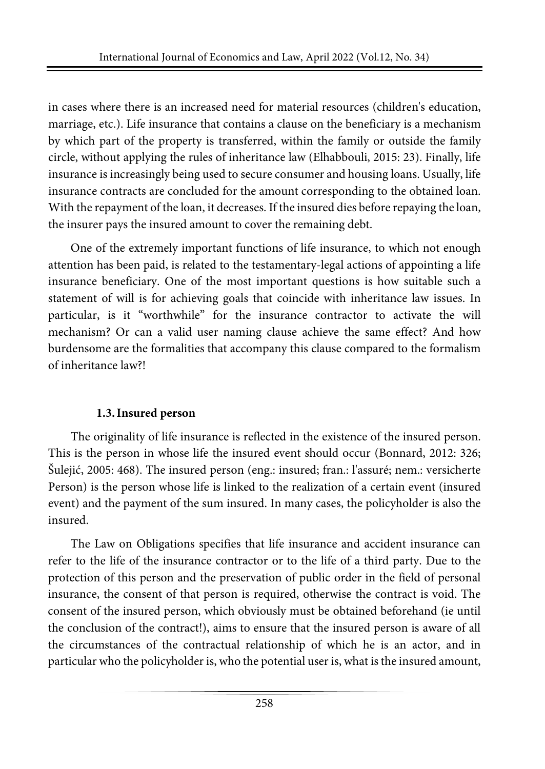in cases where there is an increased need for material resources (children's education, marriage, etc.). Life insurance that contains a clause on the beneficiary is a mechanism by which part of the property is transferred, within the family or outside the family circle, without applying the rules of inheritance law (Elhabbouli, 2015: 23). Finally, life insurance is increasingly being used to secure consumer and housing loans. Usually, life insurance contracts are concluded for the amount corresponding to the obtained loan. With the repayment of the loan, it decreases. If the insured dies before repaying the loan, the insurer pays the insured amount to cover the remaining debt.

One of the extremely important functions of life insurance, to which not enough attention has been paid, is related to the testamentary-legal actions of appointing a life insurance beneficiary. One of the most important questions is how suitable such a statement of will is for achieving goals that coincide with inheritance law issues. In particular, is it "worthwhile" for the insurance contractor to activate the will mechanism? Or can a valid user naming clause achieve the same effect? And how burdensome are the formalities that accompany this clause compared to the formalism of inheritance law?!

### **1.3.Insured person**

The originality of life insurance is reflected in the existence of the insured person. This is the person in whose life the insured event should occur (Bonnard, 2012: 326; Šulejić, 2005: 468). The insured person (eng.: insured; fran.: l'assuré; nem.: versicherte Person) is the person whose life is linked to the realization of a certain event (insured event) and the payment of the sum insured. In many cases, the policyholder is also the insured.

The Law on Obligations specifies that life insurance and accident insurance can refer to the life of the insurance contractor or to the life of a third party. Due to the protection of this person and the preservation of public order in the field of personal insurance, the consent of that person is required, otherwise the contract is void. The consent of the insured person, which obviously must be obtained beforehand (ie until the conclusion of the contract!), aims to ensure that the insured person is aware of all the circumstances of the contractual relationship of which he is an actor, and in particular who the policyholder is, who the potential user is, what is the insured amount,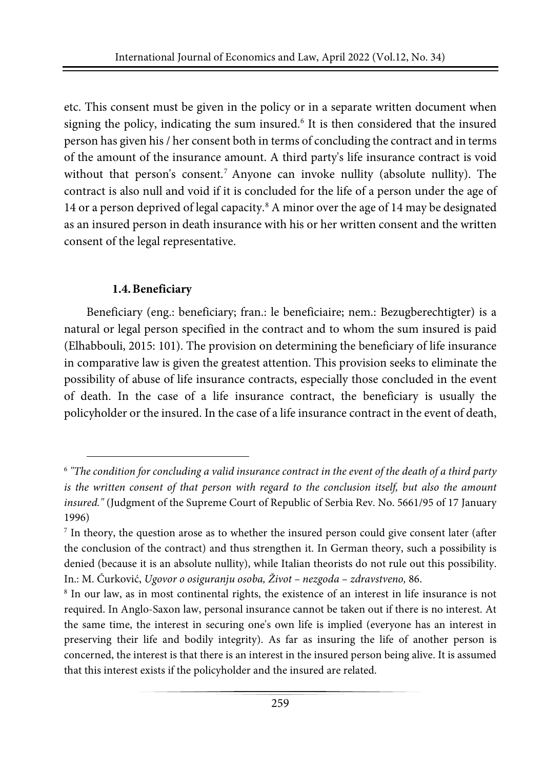etc. This consent must be given in the policy or in a separate written document when signing the policy, indicating the sum insured. $6$  It is then considered that the insured person has given his / her consent both in terms of concluding the contract and in terms of the amount of the insurance amount. A third party's life insurance contract is void without that person's consent.<sup>[7](#page-4-1)</sup> Anyone can invoke nullity (absolute nullity). The contract is also null and void if it is concluded for the life of a person under the age of 14 or a person deprived of legal capacity.[8](#page-4-2) A minor over the age of 14 may be designated as an insured person in death insurance with his or her written consent and the written consent of the legal representative.

## **1.4.Beneficiary**

Beneficiary (eng.: beneficiary; fran.: le beneficiaire; nem.: Bezugberechtigter) is a natural or legal person specified in the contract and to whom the sum insured is paid (Elhabbouli, 2015: 101). The provision on determining the beneficiary of life insurance in comparative law is given the greatest attention. This provision seeks to eliminate the possibility of abuse of life insurance contracts, especially those concluded in the event of death. In the case of a life insurance contract, the beneficiary is usually the policyholder or the insured. In the case of a life insurance contract in the event of death,

<span id="page-4-0"></span><sup>6</sup> *"The condition for concluding a valid insurance contract in the event of the death of a third party*  is the written consent of that person with regard to the conclusion itself, but also the amount *insured."* (Judgment of the Supreme Court of Republic of Serbia Rev. No. 5661/95 of 17 January 1996)

<span id="page-4-1"></span><sup>7</sup> In theory, the question arose as to whether the insured person could give consent later (after the conclusion of the contract) and thus strengthen it. In German theory, such a possibility is denied (because it is an absolute nullity), while Italian theorists do not rule out this possibility. In.: M. Ćurković, *Ugovor o osiguranju osoba, Život – nezgoda – zdravstveno,* 86.

<span id="page-4-2"></span><sup>8</sup> In our law, as in most continental rights, the existence of an interest in life insurance is not required. In Anglo-Saxon law, personal insurance cannot be taken out if there is no interest. At the same time, the interest in securing one's own life is implied (everyone has an interest in preserving their life and bodily integrity). As far as insuring the life of another person is concerned, the interest is that there is an interest in the insured person being alive. It is assumed that this interest exists if the policyholder and the insured are related.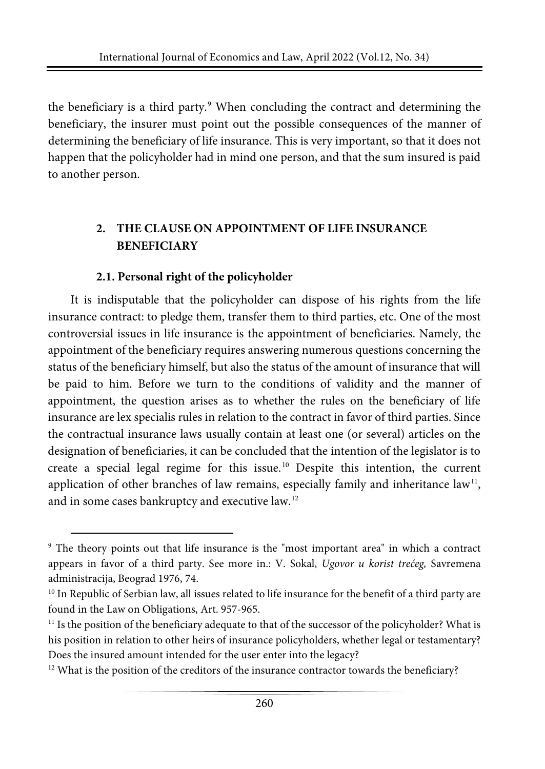the beneficiary is a third party.<sup>[9](#page-5-0)</sup> When concluding the contract and determining the beneficiary, the insurer must point out the possible consequences of the manner of determining the beneficiary of life insurance. This is very important, so that it does not happen that the policyholder had in mind one person, and that the sum insured is paid to another person.

# **2. THE CLAUSE ON APPOINTMENT OF LIFE INSURANCE BENEFICIARY**

### **2.1. Personal right of the policyholder**

It is indisputable that the policyholder can dispose of his rights from the life insurance contract: to pledge them, transfer them to third parties, etc. One of the most controversial issues in life insurance is the appointment of beneficiaries. Namely, the appointment of the beneficiary requires answering numerous questions concerning the status of the beneficiary himself, but also the status of the amount of insurance that will be paid to him. Before we turn to the conditions of validity and the manner of appointment, the question arises as to whether the rules on the beneficiary of life insurance are lex specialis rules in relation to the contract in favor of third parties. Since the contractual insurance laws usually contain at least one (or several) articles on the designation of beneficiaries, it can be concluded that the intention of the legislator is to create a special legal regime for this issue.[10](#page-5-1) Despite this intention, the current application of other branches of law remains, especially family and inheritance law<sup>11</sup>, and in some cases bankruptcy and executive law.[12](#page-5-3)

<span id="page-5-0"></span><sup>9</sup> The theory points out that life insurance is the "most important area" in which a contract appears in favor of a third party. See more in.: V. Sokal, *Ugovor u korist trećeg,* Savremena administracija, Beograd 1976, 74.

<span id="page-5-1"></span><sup>&</sup>lt;sup>10</sup> In Republic of Serbian law, all issues related to life insurance for the benefit of a third party are found in the Law on Obligations, Art. 957-965.

<span id="page-5-2"></span><sup>&</sup>lt;sup>11</sup> Is the position of the beneficiary adequate to that of the successor of the policyholder? What is his position in relation to other heirs of insurance policyholders, whether legal or testamentary? Does the insured amount intended for the user enter into the legacy?

<span id="page-5-3"></span> $12$  What is the position of the creditors of the insurance contractor towards the beneficiary?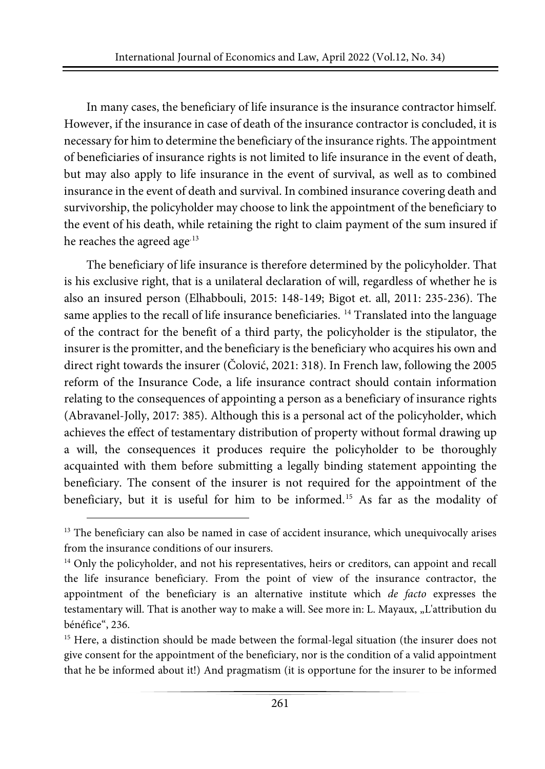In many cases, the beneficiary of life insurance is the insurance contractor himself. However, if the insurance in case of death of the insurance contractor is concluded, it is necessary for him to determine the beneficiary of the insurance rights. The appointment of beneficiaries of insurance rights is not limited to life insurance in the event of death, but may also apply to life insurance in the event of survival, as well as to combined insurance in the event of death and survival. In combined insurance covering death and survivorship, the policyholder may choose to link the appointment of the beneficiary to the event of his death, while retaining the right to claim payment of the sum insured if he reaches the agreed age<sup>[13](#page-6-0)</sup>

The beneficiary of life insurance is therefore determined by the policyholder. That is his exclusive right, that is a unilateral declaration of will, regardless of whether he is also an insured person (Elhabbouli, 2015: 148-149; Bigot et. all, 2011: 235-236). The same applies to the recall of life insurance beneficiaries. <sup>[14](#page-6-1)</sup> Translated into the language of the contract for the benefit of a third party, the policyholder is the stipulator, the insurer is the promitter, and the beneficiary is the beneficiary who acquires his own and direct right towards the insurer (Čolović, 2021: 318). In French law, following the 2005 reform of the Insurance Code, a life insurance contract should contain information relating to the consequences of appointing a person as a beneficiary of insurance rights (Abravanel-Jolly, 2017: 385). Although this is a personal act of the policyholder, which achieves the effect of testamentary distribution of property without formal drawing up a will, the consequences it produces require the policyholder to be thoroughly acquainted with them before submitting a legally binding statement appointing the beneficiary. The consent of the insurer is not required for the appointment of the beneficiary, but it is useful for him to be informed.[15](#page-6-2) As far as the modality of

<span id="page-6-0"></span><sup>&</sup>lt;sup>13</sup> The beneficiary can also be named in case of accident insurance, which unequivocally arises from the insurance conditions of our insurers.

<span id="page-6-1"></span><sup>&</sup>lt;sup>14</sup> Only the policyholder, and not his representatives, heirs or creditors, can appoint and recall the life insurance beneficiary. From the point of view of the insurance contractor, the appointment of the beneficiary is an alternative institute which *de facto* expresses the testamentary will. That is another way to make a will. See more in: L. Mayaux, "L'attribution du bénéfice", 236.

<span id="page-6-2"></span><sup>&</sup>lt;sup>15</sup> Here, a distinction should be made between the formal-legal situation (the insurer does not give consent for the appointment of the beneficiary, nor is the condition of a valid appointment that he be informed about it!) And pragmatism (it is opportune for the insurer to be informed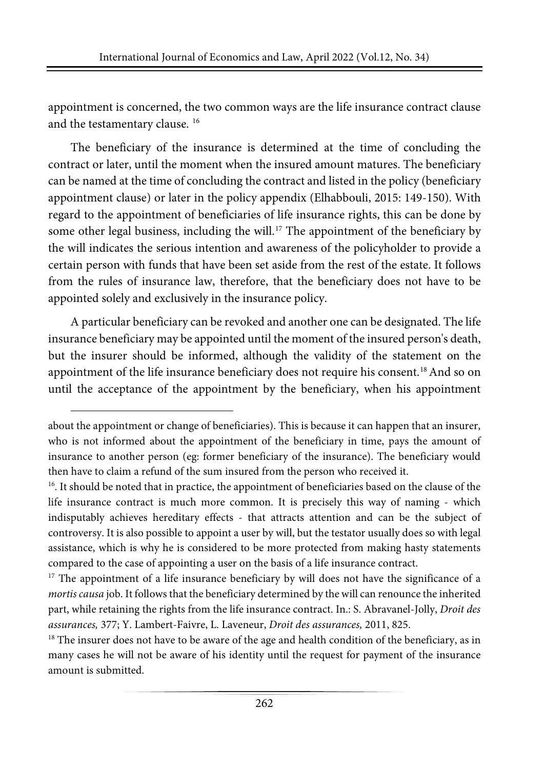appointment is concerned, the two common ways are the life insurance contract clause and the testamentary clause. [16](#page-7-0)

The beneficiary of the insurance is determined at the time of concluding the contract or later, until the moment when the insured amount matures. The beneficiary can be named at the time of concluding the contract and listed in the policy (beneficiary appointment clause) or later in the policy appendix (Elhabbouli, 2015: 149-150). With regard to the appointment of beneficiaries of life insurance rights, this can be done by some other legal business, including the will.<sup>17</sup> The appointment of the beneficiary by the will indicates the serious intention and awareness of the policyholder to provide a certain person with funds that have been set aside from the rest of the estate. It follows from the rules of insurance law, therefore, that the beneficiary does not have to be appointed solely and exclusively in the insurance policy.

A particular beneficiary can be revoked and another one can be designated. The life insurance beneficiary may be appointed until the moment of the insured person's death, but the insurer should be informed, although the validity of the statement on the appointment of the life insurance beneficiary does not require his consent.<sup>[18](#page-7-2)</sup> And so on until the acceptance of the appointment by the beneficiary, when his appointment

about the appointment or change of beneficiaries). This is because it can happen that an insurer, who is not informed about the appointment of the beneficiary in time, pays the amount of insurance to another person (eg: former beneficiary of the insurance). The beneficiary would then have to claim a refund of the sum insured from the person who received it.

<span id="page-7-0"></span> $16$ . It should be noted that in practice, the appointment of beneficiaries based on the clause of the life insurance contract is much more common. It is precisely this way of naming - which indisputably achieves hereditary effects - that attracts attention and can be the subject of controversy. It is also possible to appoint a user by will, but the testator usually does so with legal assistance, which is why he is considered to be more protected from making hasty statements compared to the case of appointing a user on the basis of a life insurance contract.

<span id="page-7-1"></span> $17$  The appointment of a life insurance beneficiary by will does not have the significance of a *mortis causa* job. It follows that the beneficiary determined by the will can renounce the inherited part, while retaining the rights from the life insurance contract. In.: S. Abravanel-Jolly, *Droit des assurances,* 377; Y. Lambert-Faivre, L. Laveneur, *Droit des assurances,* 2011, 825.

<span id="page-7-2"></span><sup>&</sup>lt;sup>18</sup> The insurer does not have to be aware of the age and health condition of the beneficiary, as in many cases he will not be aware of his identity until the request for payment of the insurance amount is submitted.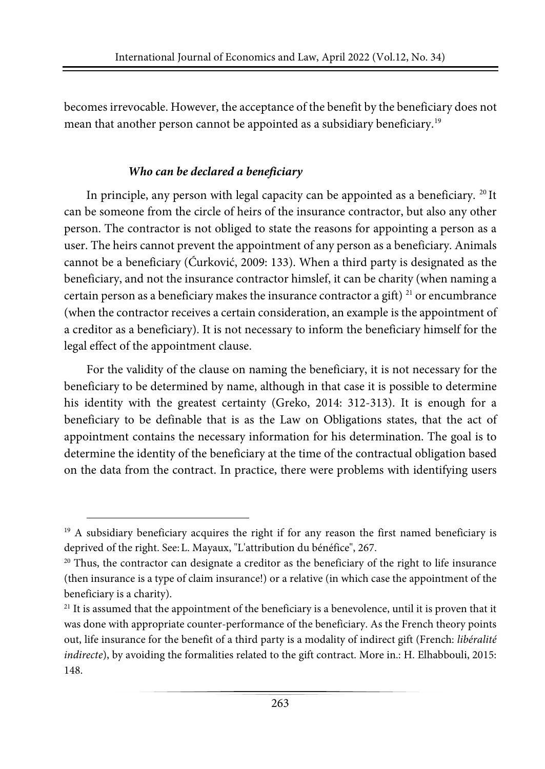becomes irrevocable. However, the acceptance of the benefit by the beneficiary does not mean that another person cannot be appointed as a subsidiary beneficiary.<sup>[19](#page-8-0)</sup>

# *Who can be declared a beneficiary*

In principle, any person with legal capacity can be appointed as a beneficiary. <sup>[20](#page-8-1)</sup> It can be someone from the circle of heirs of the insurance contractor, but also any other person. The contractor is not obliged to state the reasons for appointing a person as a user. The heirs cannot prevent the appointment of any person as a beneficiary. Animals cannot be a beneficiary (Ćurković, 2009: 133). When a third party is designated as the beneficiary, and not the insurance contractor himslef, it can be charity (when naming a certain person as a beneficiary makes the insurance contractor a gift)  $^{21}$  $^{21}$  $^{21}$  or encumbrance (when the contractor receives a certain consideration, an example is the appointment of a creditor as a beneficiary). It is not necessary to inform the beneficiary himself for the legal effect of the appointment clause.

For the validity of the clause on naming the beneficiary, it is not necessary for the beneficiary to be determined by name, although in that case it is possible to determine his identity with the greatest certainty (Greko, 2014: 312-313). It is enough for a beneficiary to be definable that is as the Law on Obligations states, that the act of appointment contains the necessary information for his determination. The goal is to determine the identity of the beneficiary at the time of the contractual obligation based on the data from the contract. In practice, there were problems with identifying users

<span id="page-8-0"></span> $19$  A subsidiary beneficiary acquires the right if for any reason the first named beneficiary is deprived of the right. See:L. Mayaux, "L'attribution du bénéfice", 267.

<span id="page-8-1"></span> $20$  Thus, the contractor can designate a creditor as the beneficiary of the right to life insurance (then insurance is a type of claim insurance!) or a relative (in which case the appointment of the beneficiary is a charity).

<span id="page-8-2"></span> $21$  It is assumed that the appointment of the beneficiary is a benevolence, until it is proven that it was done with appropriate counter-performance of the beneficiary. As the French theory points out, life insurance for the benefit of a third party is a modality of indirect gift (French: *libéralité indirecte*), by avoiding the formalities related to the gift contract. More in.: H. Elhabbouli, 2015: 148.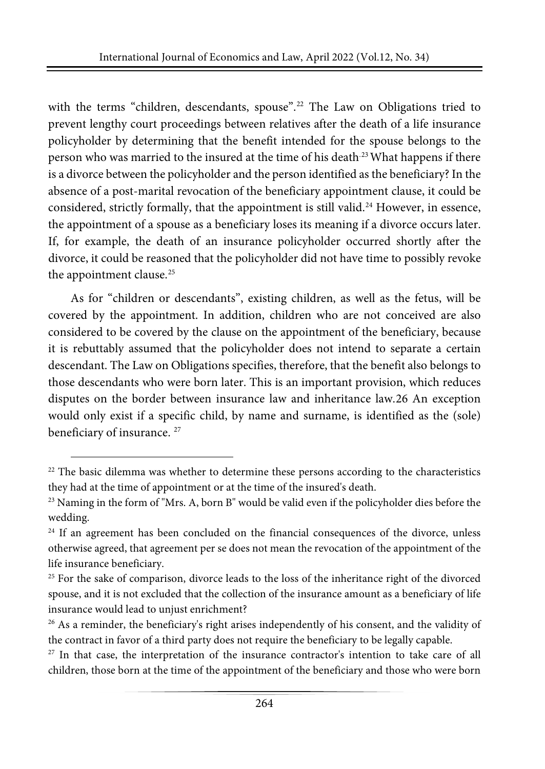with the terms "children, descendants, spouse". [22](#page-9-0) The Law on Obligations tried to prevent lengthy court proceedings between relatives after the death of a life insurance policyholder by determining that the benefit intended for the spouse belongs to the person who was married to the insured at the time of his death.<sup>[23](#page-9-1)</sup> What happens if there is a divorce between the policyholder and the person identified as the beneficiary? In the absence of a post-marital revocation of the beneficiary appointment clause, it could be considered, strictly formally, that the appointment is still valid.<sup>[24](#page-9-2)</sup> However, in essence, the appointment of a spouse as a beneficiary loses its meaning if a divorce occurs later. If, for example, the death of an insurance policyholder occurred shortly after the divorce, it could be reasoned that the policyholder did not have time to possibly revoke the appointment clause.<sup>[25](#page-9-3)</sup>

As for "children or descendants", existing children, as well as the fetus, will be covered by the appointment. In addition, children who are not conceived are also considered to be covered by the clause on the appointment of the beneficiary, because it is rebuttably assumed that the policyholder does not intend to separate a certain descendant. The Law on Obligations specifies, therefore, that the benefit also belongs to those descendants who were born later. This is an important provision, which reduces disputes on the border between insurance law and inheritance law.[26](#page-9-4) An exception would only exist if a specific child, by name and surname, is identified as the (sole) beneficiary of insurance.<sup>[27](#page-9-5)</sup>

<span id="page-9-0"></span> $22$  The basic dilemma was whether to determine these persons according to the characteristics they had at the time of appointment or at the time of the insured's death.

<span id="page-9-1"></span><sup>&</sup>lt;sup>23</sup> Naming in the form of "Mrs. A, born B" would be valid even if the policyholder dies before the wedding.

<span id="page-9-2"></span><sup>&</sup>lt;sup>24</sup> If an agreement has been concluded on the financial consequences of the divorce, unless otherwise agreed, that agreement per se does not mean the revocation of the appointment of the life insurance beneficiary.

<span id="page-9-3"></span><sup>&</sup>lt;sup>25</sup> For the sake of comparison, divorce leads to the loss of the inheritance right of the divorced spouse, and it is not excluded that the collection of the insurance amount as a beneficiary of life insurance would lead to unjust enrichment?

<span id="page-9-4"></span><sup>&</sup>lt;sup>26</sup> As a reminder, the beneficiary's right arises independently of his consent, and the validity of the contract in favor of a third party does not require the beneficiary to be legally capable.

<span id="page-9-5"></span><sup>&</sup>lt;sup>27</sup> In that case, the interpretation of the insurance contractor's intention to take care of all children, those born at the time of the appointment of the beneficiary and those who were born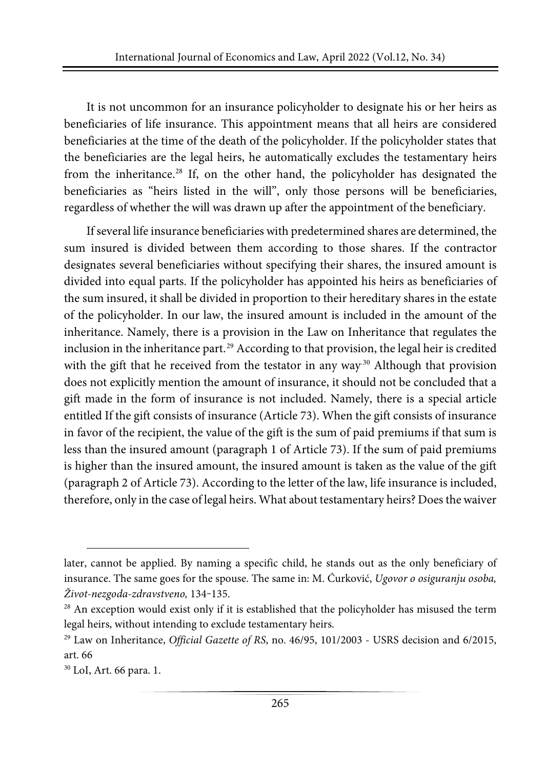It is not uncommon for an insurance policyholder to designate his or her heirs as beneficiaries of life insurance. This appointment means that all heirs are considered beneficiaries at the time of the death of the policyholder. If the policyholder states that the beneficiaries are the legal heirs, he automatically excludes the testamentary heirs from the inheritance.<sup>[28](#page-10-0)</sup> If, on the other hand, the policyholder has designated the beneficiaries as "heirs listed in the will", only those persons will be beneficiaries, regardless of whether the will was drawn up after the appointment of the beneficiary.

Ifseveral life insurance beneficiaries with predetermined shares are determined, the sum insured is divided between them according to those shares. If the contractor designates several beneficiaries without specifying their shares, the insured amount is divided into equal parts. If the policyholder has appointed his heirs as beneficiaries of the sum insured, it shall be divided in proportion to their hereditary shares in the estate of the policyholder. In our law, the insured amount is included in the amount of the inheritance. Namely, there is a provision in the Law on Inheritance that regulates the inclusion in the inheritance part.<sup>[29](#page-10-1)</sup> According to that provision, the legal heir is credited with the gift that he received from the testator in any way.<sup>[30](#page-10-2)</sup> Although that provision does not explicitly mention the amount of insurance, it should not be concluded that a gift made in the form of insurance is not included. Namely, there is a special article entitled If the gift consists of insurance (Article 73). When the gift consists of insurance in favor of the recipient, the value of the gift is the sum of paid premiums if that sum is less than the insured amount (paragraph 1 of Article 73). If the sum of paid premiums is higher than the insured amount, the insured amount is taken as the value of the gift (paragraph 2 of Article 73). According to the letter of the law, life insurance is included, therefore, only in the case of legal heirs. What about testamentary heirs? Does the waiver

later, cannot be applied. By naming a specific child, he stands out as the only beneficiary of insurance. The same goes for the spouse. The same in: M. Ćurković, *Ugovor o osiguranju osoba, Život-nezgoda-zdravstveno,* 134‒135.

<span id="page-10-0"></span><sup>&</sup>lt;sup>28</sup> An exception would exist only if it is established that the policyholder has misused the term legal heirs, without intending to exclude testamentary heirs.

<span id="page-10-1"></span><sup>29</sup> Law on Inheritance, *Official Gazette of RS*, no. 46/95, 101/2003 - USRS decision and 6/2015, art. 66

<span id="page-10-2"></span><sup>30</sup> LoI, Art. 66 para. 1.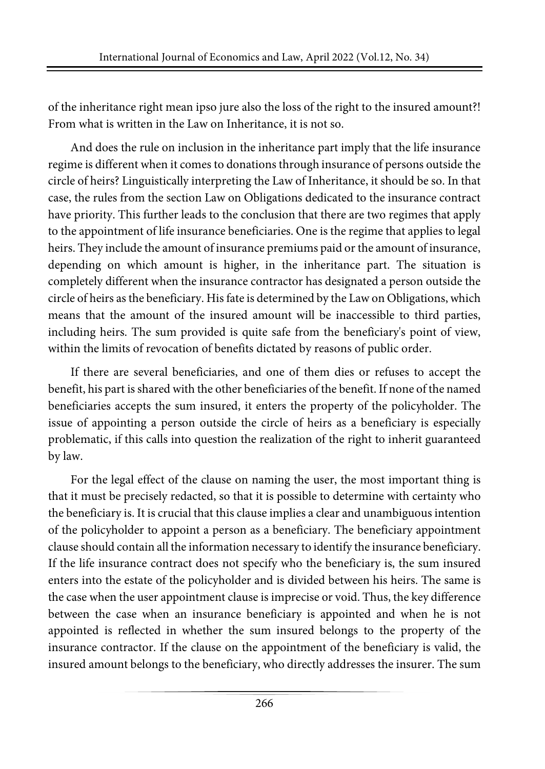of the inheritance right mean ipso jure also the loss of the right to the insured amount?! From what is written in the Law on Inheritance, it is not so.

And does the rule on inclusion in the inheritance part imply that the life insurance regime is different when it comes to donations through insurance of persons outside the circle of heirs? Linguistically interpreting the Law of Inheritance, it should be so. In that case, the rules from the section Law on Obligations dedicated to the insurance contract have priority. This further leads to the conclusion that there are two regimes that apply to the appointment of life insurance beneficiaries. One is the regime that applies to legal heirs. They include the amount of insurance premiums paid or the amount of insurance, depending on which amount is higher, in the inheritance part. The situation is completely different when the insurance contractor has designated a person outside the circle of heirs as the beneficiary. His fate is determined by the Law on Obligations, which means that the amount of the insured amount will be inaccessible to third parties, including heirs. The sum provided is quite safe from the beneficiary's point of view, within the limits of revocation of benefits dictated by reasons of public order.

If there are several beneficiaries, and one of them dies or refuses to accept the benefit, his part is shared with the other beneficiaries of the benefit. If none of the named beneficiaries accepts the sum insured, it enters the property of the policyholder. The issue of appointing a person outside the circle of heirs as a beneficiary is especially problematic, if this calls into question the realization of the right to inherit guaranteed by law.

For the legal effect of the clause on naming the user, the most important thing is that it must be precisely redacted, so that it is possible to determine with certainty who the beneficiary is. It is crucial that this clause implies a clear and unambiguous intention of the policyholder to appoint a person as a beneficiary. The beneficiary appointment clause should contain all the information necessary to identify the insurance beneficiary. If the life insurance contract does not specify who the beneficiary is, the sum insured enters into the estate of the policyholder and is divided between his heirs. The same is the case when the user appointment clause is imprecise or void. Thus, the key difference between the case when an insurance beneficiary is appointed and when he is not appointed is reflected in whether the sum insured belongs to the property of the insurance contractor. If the clause on the appointment of the beneficiary is valid, the insured amount belongs to the beneficiary, who directly addresses the insurer. The sum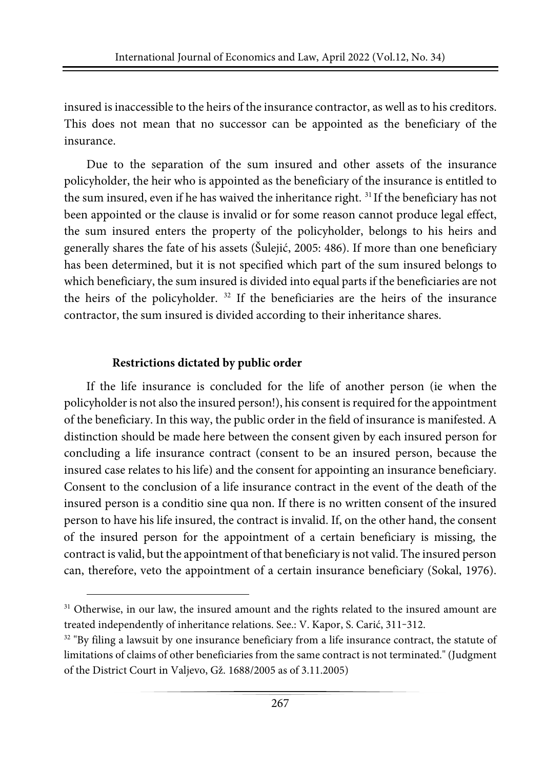insured is inaccessible to the heirs of the insurance contractor, as well as to his creditors. This does not mean that no successor can be appointed as the beneficiary of the insurance.

Due to the separation of the sum insured and other assets of the insurance policyholder, the heir who is appointed as the beneficiary of the insurance is entitled to the sum insured, even if he has waived the inheritance right.  $31$  If the beneficiary has not been appointed or the clause is invalid or for some reason cannot produce legal effect, the sum insured enters the property of the policyholder, belongs to his heirs and generally shares the fate of his assets (Šulejić, 2005: 486). If more than one beneficiary has been determined, but it is not specified which part of the sum insured belongs to which beneficiary, the sum insured is divided into equal parts if the beneficiaries are not the heirs of the policyholder.  $32 \text{ If the beneficiaries are the heirs of the insurance}$  $32 \text{ If the beneficiaries are the heirs of the insurance}$ contractor, the sum insured is divided according to their inheritance shares.

#### **Restrictions dictated by public order**

If the life insurance is concluded for the life of another person (ie when the policyholderis not also the insured person!), his consent isrequired forthe appointment of the beneficiary. In this way, the public order in the field of insurance is manifested. A distinction should be made here between the consent given by each insured person for concluding a life insurance contract (consent to be an insured person, because the insured case relates to his life) and the consent for appointing an insurance beneficiary. Consent to the conclusion of a life insurance contract in the event of the death of the insured person is a conditio sine qua non. If there is no written consent of the insured person to have his life insured, the contract is invalid. If, on the other hand, the consent of the insured person for the appointment of a certain beneficiary is missing, the contract is valid, but the appointment of that beneficiary is not valid. The insured person can, therefore, veto the appointment of a certain insurance beneficiary (Sokal, 1976).

<span id="page-12-0"></span> $31$  Otherwise, in our law, the insured amount and the rights related to the insured amount are treated independently of inheritance relations. See.: V. Kapor, S. Carić, 311-312.

<span id="page-12-1"></span> $32$  "By filing a lawsuit by one insurance beneficiary from a life insurance contract, the statute of limitations of claims of other beneficiaries from the same contract is not terminated." (Judgment of the District Court in Valjevo, Gž. 1688/2005 as of 3.11.2005)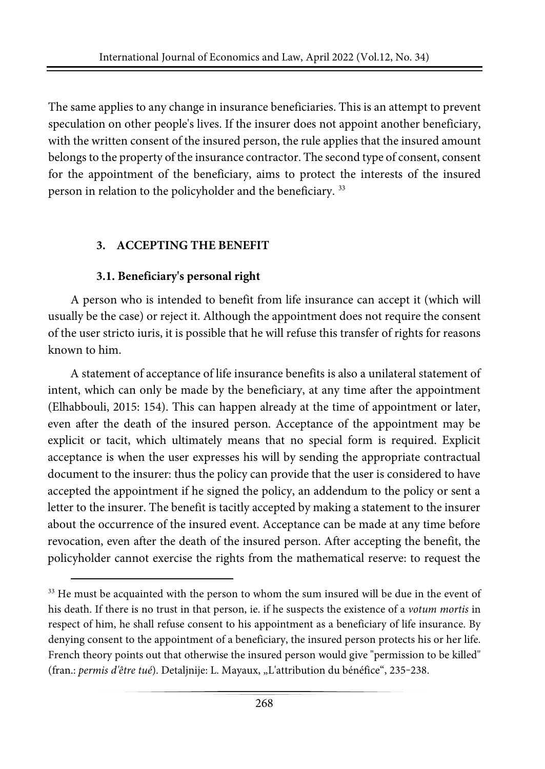The same applies to any change in insurance beneficiaries. This is an attempt to prevent speculation on other people's lives. If the insurer does not appoint another beneficiary, with the written consent of the insured person, the rule applies that the insured amount belongs to the property of the insurance contractor. The second type of consent, consent for the appointment of the beneficiary, aims to protect the interests of the insured person in relation to the policyholder and the beneficiary. [33](#page-13-0)

# **3. ACCEPTING THE BENEFIT**

## **3.1. Beneficiary's personal right**

A person who is intended to benefit from life insurance can accept it (which will usually be the case) or reject it. Although the appointment does not require the consent of the user stricto iuris, it is possible that he will refuse this transfer of rights for reasons known to him.

A statement of acceptance of life insurance benefits is also a unilateral statement of intent, which can only be made by the beneficiary, at any time after the appointment (Elhabbouli, 2015: 154). This can happen already at the time of appointment or later, even after the death of the insured person. Acceptance of the appointment may be explicit or tacit, which ultimately means that no special form is required. Explicit acceptance is when the user expresses his will by sending the appropriate contractual document to the insurer: thus the policy can provide that the user is considered to have accepted the appointment if he signed the policy, an addendum to the policy or sent a letter to the insurer. The benefit is tacitly accepted by making a statement to the insurer about the occurrence of the insured event. Acceptance can be made at any time before revocation, even after the death of the insured person. After accepting the benefit, the policyholder cannot exercise the rights from the mathematical reserve: to request the

<span id="page-13-0"></span><sup>&</sup>lt;sup>33</sup> He must be acquainted with the person to whom the sum insured will be due in the event of his death. If there is no trust in that person, ie. if he suspects the existence of a *votum mortis* in respect of him, he shall refuse consent to his appointment as a beneficiary of life insurance. By denying consent to the appointment of a beneficiary, the insured person protects his or her life. French theory points out that otherwise the insured person would give "permission to be killed" (fran.: *permis d'être tué*). Detaljnije: L. Mayaux, "L'attribution du bénéfice", 235-238.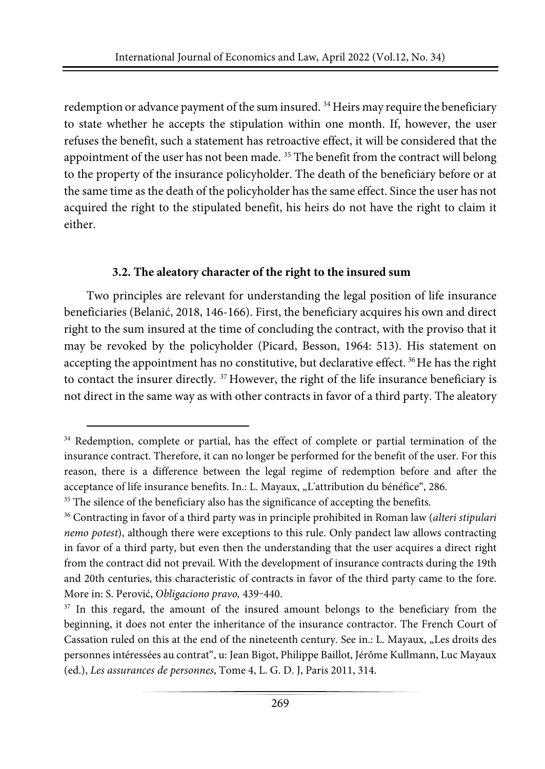redemption or advance payment of the sum insured. [34](#page-14-0) Heirs may require the beneficiary to state whether he accepts the stipulation within one month. If, however, the user refuses the benefit, such a statement has retroactive effect, it will be considered that the appointment of the user has not been made. [35](#page-14-1) The benefit from the contract will belong to the property of the insurance policyholder. The death of the beneficiary before or at the same time as the death of the policyholder has the same effect. Since the user has not acquired the right to the stipulated benefit, his heirs do not have the right to claim it either.

### **3.2. The aleatory character of the right to the insured sum**

Two principles are relevant for understanding the legal position of life insurance beneficiaries (Belanić, 2018, 146-166). First, the beneficiary acquires his own and direct right to the sum insured at the time of concluding the contract, with the proviso that it may be revoked by the policyholder (Picard, Besson, 1964: 513). His statement on accepting the appointment has no constitutive, but declarative effect. <sup>[36](#page-14-2)</sup>He has the right to contact the insurer directly. <sup>[37](#page-14-3)</sup> However, the right of the life insurance beneficiary is not direct in the same way as with other contracts in favor of a third party. The aleatory

<span id="page-14-0"></span><sup>&</sup>lt;sup>34</sup> Redemption, complete or partial, has the effect of complete or partial termination of the insurance contract. Therefore, it can no longer be performed for the benefit of the user. For this reason, there is a difference between the legal regime of redemption before and after the acceptance of life insurance benefits. In.: L. Mayaux, "L'attribution du bénéfice", 286.

<span id="page-14-1"></span><sup>&</sup>lt;sup>35</sup> The silence of the beneficiary also has the significance of accepting the benefits.

<span id="page-14-2"></span><sup>36</sup> Contracting in favor of a third party was in principle prohibited in Roman law (*alteri stipulari nemo potest*), although there were exceptions to this rule. Only pandect law allows contracting in favor of a third party, but even then the understanding that the user acquires a direct right from the contract did not prevail. With the development of insurance contracts during the 19th and 20th centuries, this characteristic of contracts in favor of the third party came to the fore. More in: S. Perović, *Obligaciono pravo*, 439-440.

<span id="page-14-3"></span><sup>&</sup>lt;sup>37</sup> In this regard, the amount of the insured amount belongs to the beneficiary from the beginning, it does not enter the inheritance of the insurance contractor. The French Court of Cassation ruled on this at the end of the nineteenth century. See in.: L. Mayaux, "Les droits des personnes intéressées au contrat", u: Jean Bigot, Philippe Baillot, Jérôme Kullmann, Luc Mayaux (ed.), *Les assurances de personnes*, Tome 4, L. G. D. J, Paris 2011, 314.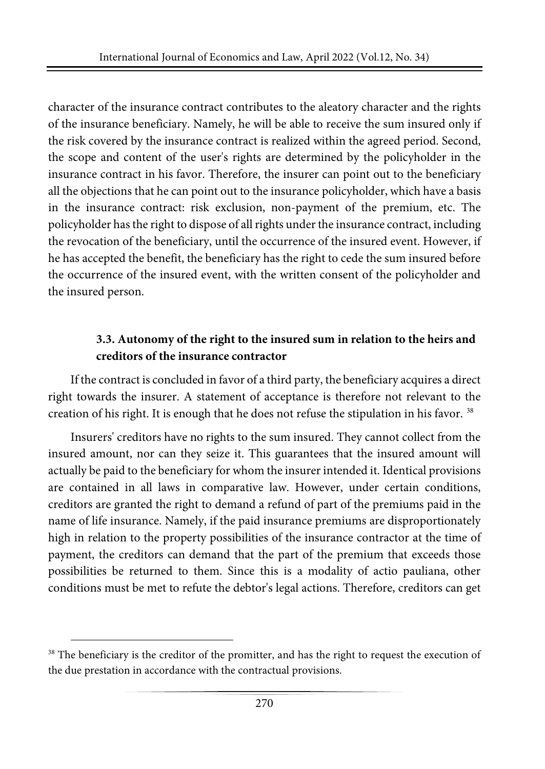character of the insurance contract contributes to the aleatory character and the rights of the insurance beneficiary. Namely, he will be able to receive the sum insured only if the risk covered by the insurance contract is realized within the agreed period. Second, the scope and content of the user's rights are determined by the policyholder in the insurance contract in his favor. Therefore, the insurer can point out to the beneficiary all the objections that he can point out to the insurance policyholder, which have a basis in the insurance contract: risk exclusion, non-payment of the premium, etc. The policyholder has the right to dispose of all rights under the insurance contract, including the revocation of the beneficiary, until the occurrence of the insured event. However, if he has accepted the benefit, the beneficiary has the right to cede the sum insured before the occurrence of the insured event, with the written consent of the policyholder and the insured person.

# **3.3. Autonomy of the right to the insured sum in relation to the heirs and creditors of the insurance contractor**

If the contract is concluded in favor of a third party, the beneficiary acquires a direct right towards the insurer. A statement of acceptance is therefore not relevant to the creation of his right. It is enough that he does not refuse the stipulation in his favor. [38](#page-15-0)

Insurers' creditors have no rights to the sum insured. They cannot collect from the insured amount, nor can they seize it. This guarantees that the insured amount will actually be paid to the beneficiary for whom the insurerintended it. Identical provisions are contained in all laws in comparative law. However, under certain conditions, creditors are granted the right to demand a refund of part of the premiums paid in the name of life insurance. Namely, if the paid insurance premiums are disproportionately high in relation to the property possibilities of the insurance contractor at the time of payment, the creditors can demand that the part of the premium that exceeds those possibilities be returned to them. Since this is a modality of actio pauliana, other conditions must be met to refute the debtor's legal actions. Therefore, creditors can get

<span id="page-15-0"></span><sup>&</sup>lt;sup>38</sup> The beneficiary is the creditor of the promitter, and has the right to request the execution of the due prestation in accordance with the contractual provisions.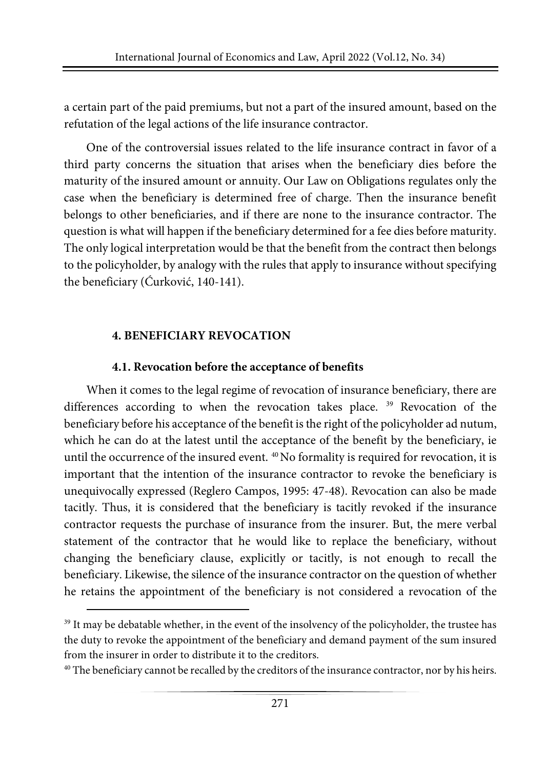a certain part of the paid premiums, but not a part of the insured amount, based on the refutation of the legal actions of the life insurance contractor.

One of the controversial issues related to the life insurance contract in favor of a third party concerns the situation that arises when the beneficiary dies before the maturity of the insured amount or annuity. Our Law on Obligations regulates only the case when the beneficiary is determined free of charge. Then the insurance benefit belongs to other beneficiaries, and if there are none to the insurance contractor. The question is what will happen if the beneficiary determined for a fee dies before maturity. The only logical interpretation would be that the benefit from the contract then belongs to the policyholder, by analogy with the rules that apply to insurance without specifying the beneficiary (Ćurković, 140-141).

#### **4. BENEFICIARY REVOCATION**

#### **4.1. Revocation before the acceptance of benefits**

When it comes to the legal regime of revocation of insurance beneficiary, there are differences according to when the revocation takes place. [39](#page-16-0) Revocation of the beneficiary before his acceptance of the benefit is the right of the policyholder ad nutum, which he can do at the latest until the acceptance of the benefit by the beneficiary, ie until the occurrence of the insured event. <sup>[40](#page-16-1)</sup>No formality is required for revocation, it is important that the intention of the insurance contractor to revoke the beneficiary is unequivocally expressed (Reglero Campos, 1995: 47-48). Revocation can also be made tacitly. Thus, it is considered that the beneficiary is tacitly revoked if the insurance contractor requests the purchase of insurance from the insurer. But, the mere verbal statement of the contractor that he would like to replace the beneficiary, without changing the beneficiary clause, explicitly or tacitly, is not enough to recall the beneficiary. Likewise, the silence of the insurance contractor on the question of whether he retains the appointment of the beneficiary is not considered a revocation of the

<span id="page-16-0"></span><sup>&</sup>lt;sup>39</sup> It may be debatable whether, in the event of the insolvency of the policyholder, the trustee has the duty to revoke the appointment of the beneficiary and demand payment of the sum insured from the insurer in order to distribute it to the creditors.

<span id="page-16-1"></span> $40$  The beneficiary cannot be recalled by the creditors of the insurance contractor, nor by his heirs.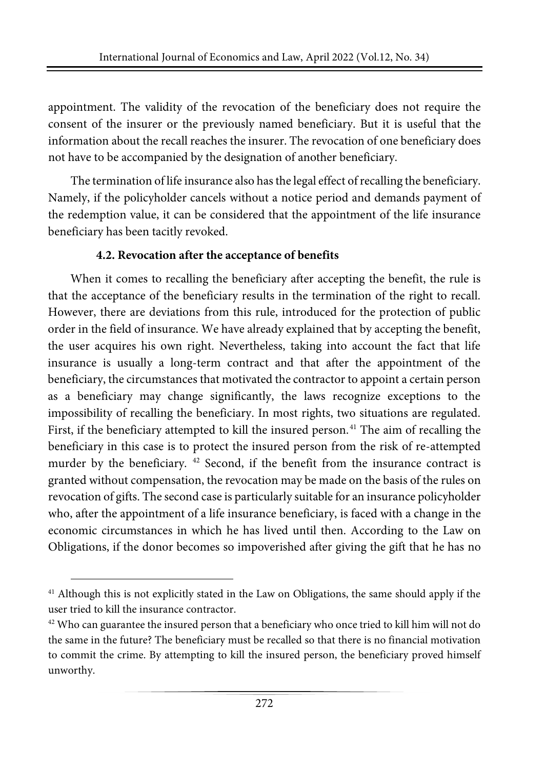appointment. The validity of the revocation of the beneficiary does not require the consent of the insurer or the previously named beneficiary. But it is useful that the information about the recall reaches the insurer. The revocation of one beneficiary does not have to be accompanied by the designation of another beneficiary.

The termination of life insurance also hasthe legal effect ofrecalling the beneficiary. Namely, if the policyholder cancels without a notice period and demands payment of the redemption value, it can be considered that the appointment of the life insurance beneficiary has been tacitly revoked.

### **4.2. Revocation after the acceptance of benefits**

When it comes to recalling the beneficiary after accepting the benefit, the rule is that the acceptance of the beneficiary results in the termination of the right to recall. However, there are deviations from this rule, introduced for the protection of public order in the field of insurance. We have already explained that by accepting the benefit, the user acquires his own right. Nevertheless, taking into account the fact that life insurance is usually a long-term contract and that after the appointment of the beneficiary, the circumstances that motivated the contractor to appoint a certain person as a beneficiary may change significantly, the laws recognize exceptions to the impossibility of recalling the beneficiary. In most rights, two situations are regulated. First, if the beneficiary attempted to kill the insured person.<sup>[41](#page-17-0)</sup> The aim of recalling the beneficiary in this case is to protect the insured person from the risk of re-attempted murder by the beneficiary. <sup>[42](#page-17-1)</sup> Second, if the benefit from the insurance contract is granted without compensation, the revocation may be made on the basis of the rules on revocation of gifts. The second case is particularly suitable for an insurance policyholder who, after the appointment of a life insurance beneficiary, is faced with a change in the economic circumstances in which he has lived until then. According to the Law on Obligations, if the donor becomes so impoverished after giving the gift that he has no

<span id="page-17-0"></span><sup>&</sup>lt;sup>41</sup> Although this is not explicitly stated in the Law on Obligations, the same should apply if the user tried to kill the insurance contractor.

<span id="page-17-1"></span><sup>&</sup>lt;sup>42</sup> Who can guarantee the insured person that a beneficiary who once tried to kill him will not do the same in the future? The beneficiary must be recalled so that there is no financial motivation to commit the crime. By attempting to kill the insured person, the beneficiary proved himself unworthy.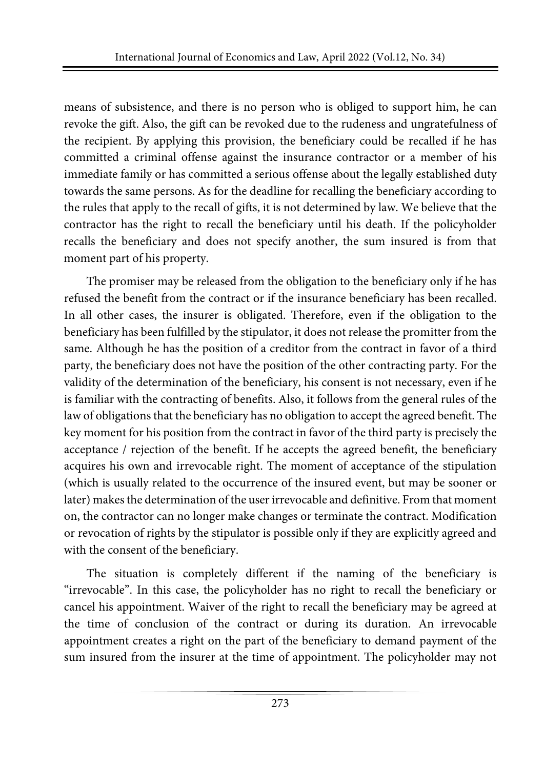means of subsistence, and there is no person who is obliged to support him, he can revoke the gift. Also, the gift can be revoked due to the rudeness and ungratefulness of the recipient. By applying this provision, the beneficiary could be recalled if he has committed a criminal offense against the insurance contractor or a member of his immediate family or has committed a serious offense about the legally established duty towards the same persons. As for the deadline for recalling the beneficiary according to the rules that apply to the recall of gifts, it is not determined by law. We believe that the contractor has the right to recall the beneficiary until his death. If the policyholder recalls the beneficiary and does not specify another, the sum insured is from that moment part of his property.

The promiser may be released from the obligation to the beneficiary only if he has refused the benefit from the contract or if the insurance beneficiary has been recalled. In all other cases, the insurer is obligated. Therefore, even if the obligation to the beneficiary has been fulfilled by the stipulator, it does not release the promitter from the same. Although he has the position of a creditor from the contract in favor of a third party, the beneficiary does not have the position of the other contracting party. For the validity of the determination of the beneficiary, his consent is not necessary, even if he is familiar with the contracting of benefits. Also, it follows from the general rules of the law of obligations that the beneficiary has no obligation to accept the agreed benefit. The key moment for his position from the contract in favor of the third party is precisely the acceptance / rejection of the benefit. If he accepts the agreed benefit, the beneficiary acquires his own and irrevocable right. The moment of acceptance of the stipulation (which is usually related to the occurrence of the insured event, but may be sooner or later) makes the determination of the user irrevocable and definitive. From that moment on, the contractor can no longer make changes or terminate the contract. Modification or revocation of rights by the stipulator is possible only if they are explicitly agreed and with the consent of the beneficiary.

The situation is completely different if the naming of the beneficiary is "irrevocable". In this case, the policyholder has no right to recall the beneficiary or cancel his appointment. Waiver of the right to recall the beneficiary may be agreed at the time of conclusion of the contract or during its duration. An irrevocable appointment creates a right on the part of the beneficiary to demand payment of the sum insured from the insurer at the time of appointment. The policyholder may not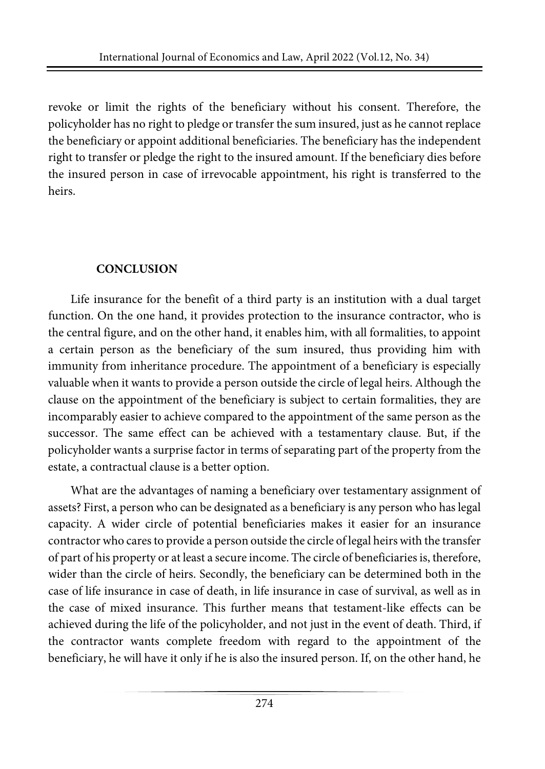revoke or limit the rights of the beneficiary without his consent. Therefore, the policyholder has no right to pledge ortransfer the sum insured, just as he cannotreplace the beneficiary or appoint additional beneficiaries. The beneficiary has the independent right to transfer or pledge the right to the insured amount. If the beneficiary dies before the insured person in case of irrevocable appointment, his right is transferred to the heirs.

# **CONCLUSION**

Life insurance for the benefit of a third party is an institution with a dual target function. On the one hand, it provides protection to the insurance contractor, who is the central figure, and on the other hand, it enables him, with all formalities, to appoint a certain person as the beneficiary of the sum insured, thus providing him with immunity from inheritance procedure. The appointment of a beneficiary is especially valuable when it wants to provide a person outside the circle of legal heirs. Although the clause on the appointment of the beneficiary is subject to certain formalities, they are incomparably easier to achieve compared to the appointment of the same person as the successor. The same effect can be achieved with a testamentary clause. But, if the policyholder wants a surprise factor in terms of separating part of the property from the estate, a contractual clause is a better option.

What are the advantages of naming a beneficiary over testamentary assignment of assets? First, a person who can be designated as a beneficiary is any person who has legal capacity. A wider circle of potential beneficiaries makes it easier for an insurance contractor who caresto provide a person outside the circle of legal heirs with the transfer of part of his property or at least a secure income. The circle of beneficiariesis, therefore, wider than the circle of heirs. Secondly, the beneficiary can be determined both in the case of life insurance in case of death, in life insurance in case of survival, as well as in the case of mixed insurance. This further means that testament-like effects can be achieved during the life of the policyholder, and not just in the event of death. Third, if the contractor wants complete freedom with regard to the appointment of the beneficiary, he will have it only if he is also the insured person. If, on the other hand, he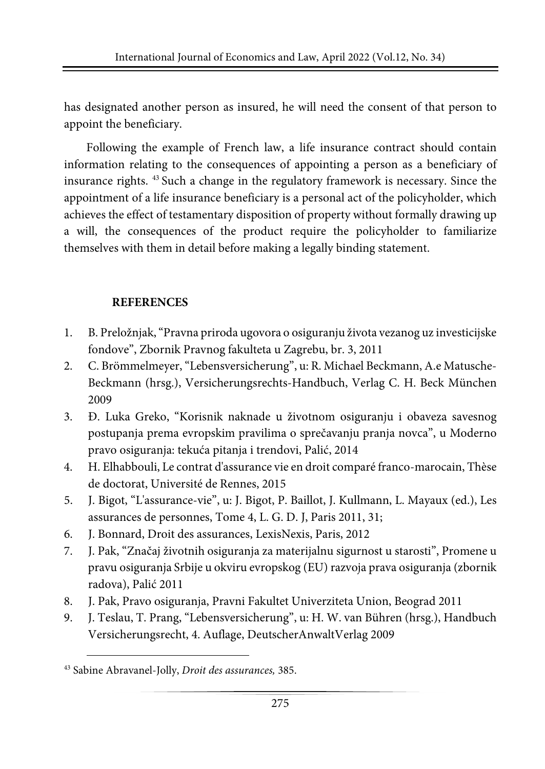has designated another person as insured, he will need the consent of that person to appoint the beneficiary.

Following the example of French law, a life insurance contract should contain information relating to the consequences of appointing a person as a beneficiary of insurance rights. [43](#page-20-0) Such a change in the regulatory framework is necessary. Since the appointment of a life insurance beneficiary is a personal act of the policyholder, which achieves the effect of testamentary disposition of property without formally drawing up a will, the consequences of the product require the policyholder to familiarize themselves with them in detail before making a legally binding statement.

### **REFERENCES**

- 1. B. Preložnjak,"Pravna priroda ugovora o osiguranju života vezanog uz investicijske fondove", Zbornik Pravnog fakulteta u Zagrebu, br. 3, 2011
- 2. C. Brömmelmeyer,"Lebensversicherung", u: R. Michael Beckmann, A.e Matusche-Beckmann (hrsg.), Versicherungsrechts-Handbuch, Verlag C. H. Beck München 2009
- 3. Đ. Luka Greko, "Korisnik naknade u životnom osiguranju i obaveza savesnog postupanja prema evropskim pravilima o sprečavanju pranja novca", u Moderno pravo osiguranja: tekuća pitanja i trendovi, Palić, 2014
- 4. H. Elhabbouli, Le contrat d'assurance vie en droit comparé franco-marocain, Thèse de doctorat, Université de Rennes, 2015
- 5. J. Bigot, "L'assurance-vie", u: J. Bigot, P. Baillot, J. Kullmann, L. Mayaux (ed.), Les assurances de personnes, Tome 4, L. G. D. J, Paris 2011, 31;
- 6. J. Bonnard, Droit des assurances, LexisNexis, Paris, 2012
- 7. J. Pak, "Značaj životnih osiguranja za materijalnu sigurnost u starosti", Promene u pravu osiguranja Srbije u okviru evropskog (EU) razvoja prava osiguranja (zbornik radova), Palić 2011
- 8. J. Pak, Pravo osiguranja, Pravni Fakultet Univerziteta Union, Beograd 2011
- 9. J. Teslau, T. Prang, "Lebensversicherung", u: H. W. van Bühren (hrsg.), Handbuch Versicherungsrecht, 4. Auflage, DeutscherAnwaltVerlag 2009

<span id="page-20-0"></span><sup>43</sup> Sabine Abravanel-Jolly, *Droit des assurances,* 385.